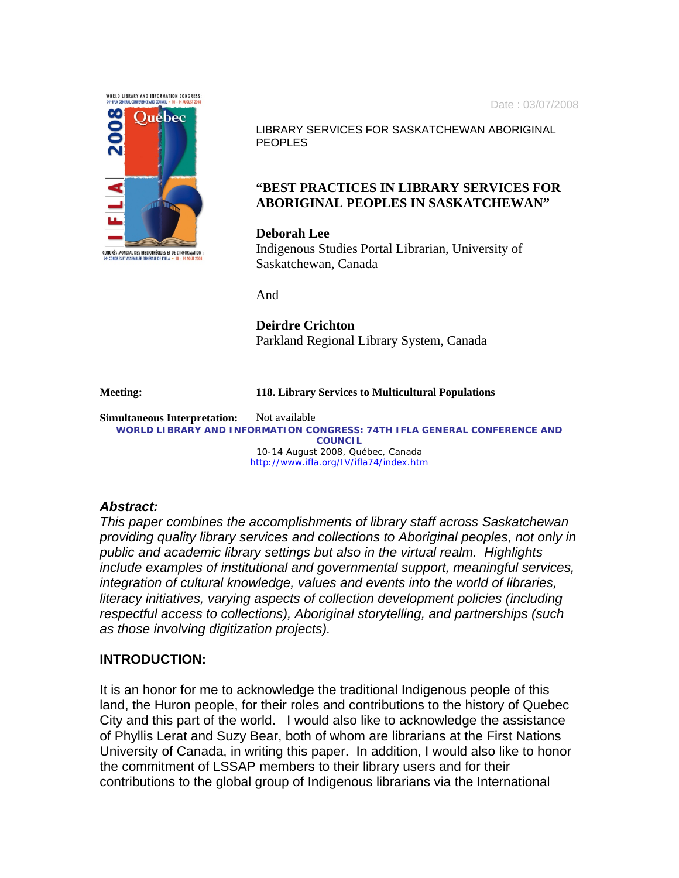Date : 03/07/2008



LIBRARY SERVICES FOR SASKATCHEWAN ABORIGINAL PEOPLES

# **"BEST PRACTICES IN LIBRARY SERVICES FOR ABORIGINAL PEOPLES IN SASKATCHEWAN"**

### **Deborah Lee**

Indigenous Studies Portal Librarian, University of Saskatchewan, Canada

And

# **Deirdre Crichton**  Parkland Regional Library System, Canada

#### **Meeting: 118. Library Services to Multicultural Populations**

**Simultaneous Interpretation:** Not available *WORLD LIBRARY AND INFORMATION CONGRESS: 74TH IFLA GENERAL CONFERENCE AND COUNCIL*  10-14 August 2008, Québec, Canada http://www.ifla.org/IV/ifla74/index.htm

# *Abstract:*

*This paper combines the accomplishments of library staff across Saskatchewan providing quality library services and collections to Aboriginal peoples, not only in public and academic library settings but also in the virtual realm. Highlights include examples of institutional and governmental support, meaningful services, integration of cultural knowledge, values and events into the world of libraries, literacy initiatives, varying aspects of collection development policies (including respectful access to collections), Aboriginal storytelling, and partnerships (such as those involving digitization projects).* 

# **INTRODUCTION:**

It is an honor for me to acknowledge the traditional Indigenous people of this land, the Huron people, for their roles and contributions to the history of Quebec City and this part of the world. I would also like to acknowledge the assistance of Phyllis Lerat and Suzy Bear, both of whom are librarians at the First Nations University of Canada, in writing this paper. In addition, I would also like to honor the commitment of LSSAP members to their library users and for their contributions to the global group of Indigenous librarians via the International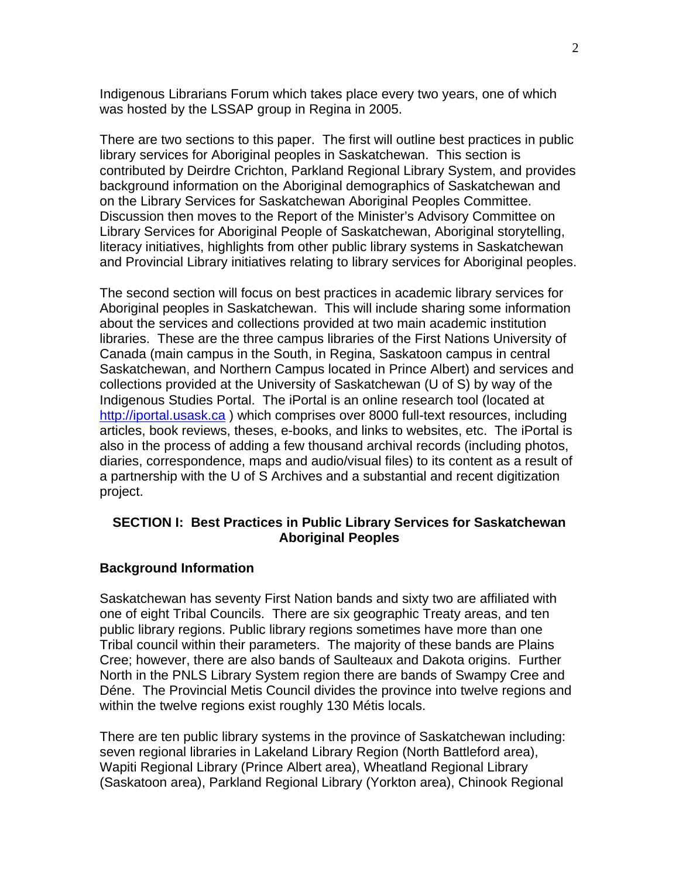Indigenous Librarians Forum which takes place every two years, one of which was hosted by the LSSAP group in Regina in 2005.

There are two sections to this paper. The first will outline best practices in public library services for Aboriginal peoples in Saskatchewan. This section is contributed by Deirdre Crichton, Parkland Regional Library System, and provides background information on the Aboriginal demographics of Saskatchewan and on the Library Services for Saskatchewan Aboriginal Peoples Committee. Discussion then moves to the Report of the Minister's Advisory Committee on Library Services for Aboriginal People of Saskatchewan, Aboriginal storytelling, literacy initiatives, highlights from other public library systems in Saskatchewan and Provincial Library initiatives relating to library services for Aboriginal peoples.

The second section will focus on best practices in academic library services for Aboriginal peoples in Saskatchewan. This will include sharing some information about the services and collections provided at two main academic institution libraries. These are the three campus libraries of the First Nations University of Canada (main campus in the South, in Regina, Saskatoon campus in central Saskatchewan, and Northern Campus located in Prince Albert) and services and collections provided at the University of Saskatchewan (U of S) by way of the Indigenous Studies Portal. The iPortal is an online research tool (located at http://iportal.usask.ca ) which comprises over 8000 full-text resources, including articles, book reviews, theses, e-books, and links to websites, etc. The iPortal is also in the process of adding a few thousand archival records (including photos, diaries, correspondence, maps and audio/visual files) to its content as a result of a partnership with the U of S Archives and a substantial and recent digitization project.

### **SECTION I: Best Practices in Public Library Services for Saskatchewan Aboriginal Peoples**

### **Background Information**

Saskatchewan has seventy First Nation bands and sixty two are affiliated with one of eight Tribal Councils. There are six geographic Treaty areas, and ten public library regions. Public library regions sometimes have more than one Tribal council within their parameters. The majority of these bands are Plains Cree; however, there are also bands of Saulteaux and Dakota origins. Further North in the PNLS Library System region there are bands of Swampy Cree and Déne. The Provincial Metis Council divides the province into twelve regions and within the twelve regions exist roughly 130 Métis locals.

There are ten public library systems in the province of Saskatchewan including: seven regional libraries in Lakeland Library Region (North Battleford area), Wapiti Regional Library (Prince Albert area), Wheatland Regional Library (Saskatoon area), Parkland Regional Library (Yorkton area), Chinook Regional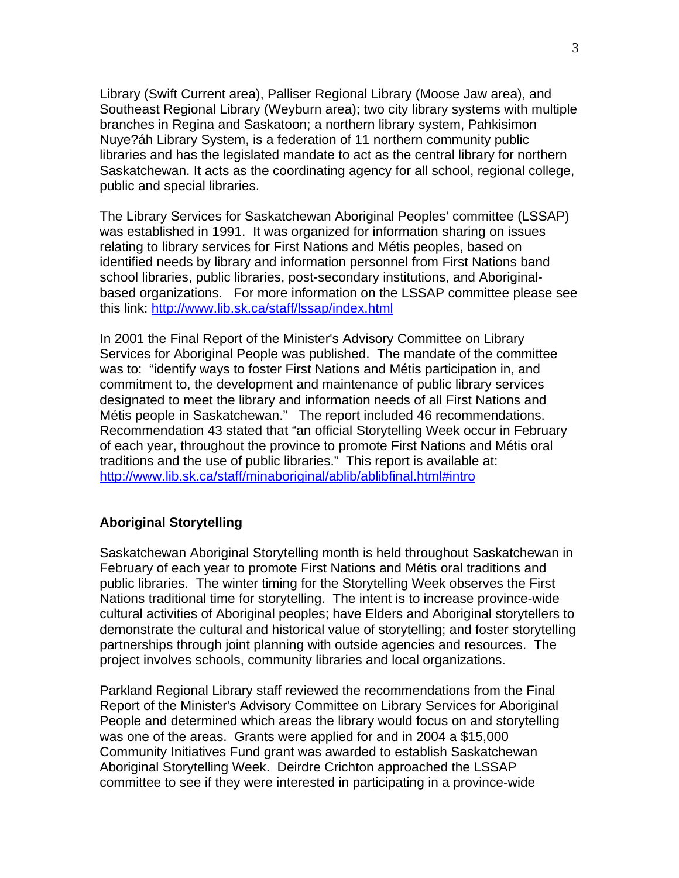Library (Swift Current area), Palliser Regional Library (Moose Jaw area), and Southeast Regional Library (Weyburn area); two city library systems with multiple branches in Regina and Saskatoon; a northern library system, Pahkisimon Nuye?áh Library System, is a federation of 11 northern community public libraries and has the legislated mandate to act as the central library for northern Saskatchewan. It acts as the coordinating agency for all school, regional college, public and special libraries.

The Library Services for Saskatchewan Aboriginal Peoples' committee (LSSAP) was established in 1991. It was organized for information sharing on issues relating to library services for First Nations and Métis peoples, based on identified needs by library and information personnel from First Nations band school libraries, public libraries, post-secondary institutions, and Aboriginalbased organizations. For more information on the LSSAP committee please see this link: http://www.lib.sk.ca/staff/lssap/index.html

In 2001 the Final Report of the Minister's Advisory Committee on Library Services for Aboriginal People was published. The mandate of the committee was to: "identify ways to foster First Nations and Métis participation in, and commitment to, the development and maintenance of public library services designated to meet the library and information needs of all First Nations and Métis people in Saskatchewan." The report included 46 recommendations. Recommendation 43 stated that "an official Storytelling Week occur in February of each year, throughout the province to promote First Nations and Métis oral traditions and the use of public libraries." This report is available at: http://www.lib.sk.ca/staff/minaboriginal/ablib/ablibfinal.html#intro

### **Aboriginal Storytelling**

Saskatchewan Aboriginal Storytelling month is held throughout Saskatchewan in February of each year to promote First Nations and Métis oral traditions and public libraries. The winter timing for the Storytelling Week observes the First Nations traditional time for storytelling. The intent is to increase province-wide cultural activities of Aboriginal peoples; have Elders and Aboriginal storytellers to demonstrate the cultural and historical value of storytelling; and foster storytelling partnerships through joint planning with outside agencies and resources. The project involves schools, community libraries and local organizations.

Parkland Regional Library staff reviewed the recommendations from the Final Report of the Minister's Advisory Committee on Library Services for Aboriginal People and determined which areas the library would focus on and storytelling was one of the areas. Grants were applied for and in 2004 a \$15,000 Community Initiatives Fund grant was awarded to establish Saskatchewan Aboriginal Storytelling Week. Deirdre Crichton approached the LSSAP committee to see if they were interested in participating in a province-wide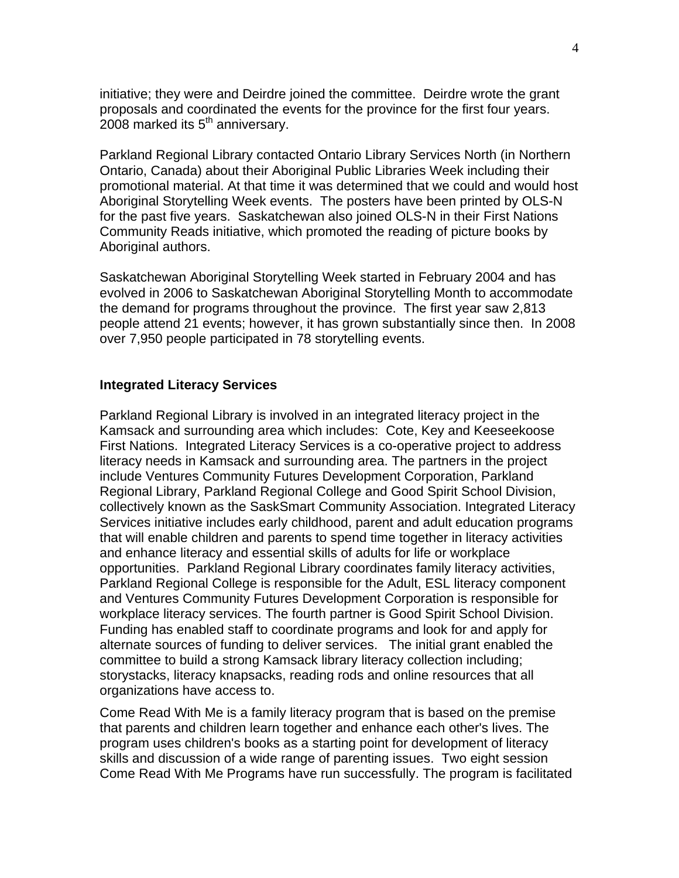initiative; they were and Deirdre joined the committee. Deirdre wrote the grant proposals and coordinated the events for the province for the first four years. 2008 marked its  $5<sup>th</sup>$  anniversary.

Parkland Regional Library contacted Ontario Library Services North (in Northern Ontario, Canada) about their Aboriginal Public Libraries Week including their promotional material. At that time it was determined that we could and would host Aboriginal Storytelling Week events. The posters have been printed by OLS-N for the past five years. Saskatchewan also joined OLS-N in their First Nations Community Reads initiative, which promoted the reading of picture books by Aboriginal authors.

Saskatchewan Aboriginal Storytelling Week started in February 2004 and has evolved in 2006 to Saskatchewan Aboriginal Storytelling Month to accommodate the demand for programs throughout the province. The first year saw 2,813 people attend 21 events; however, it has grown substantially since then. In 2008 over 7,950 people participated in 78 storytelling events.

#### **Integrated Literacy Services**

Parkland Regional Library is involved in an integrated literacy project in the Kamsack and surrounding area which includes: Cote, Key and Keeseekoose First Nations. Integrated Literacy Services is a co-operative project to address literacy needs in Kamsack and surrounding area. The partners in the project include Ventures Community Futures Development Corporation, Parkland Regional Library, Parkland Regional College and Good Spirit School Division, collectively known as the SaskSmart Community Association. Integrated Literacy Services initiative includes early childhood, parent and adult education programs that will enable children and parents to spend time together in literacy activities and enhance literacy and essential skills of adults for life or workplace opportunities. Parkland Regional Library coordinates family literacy activities, Parkland Regional College is responsible for the Adult, ESL literacy component and Ventures Community Futures Development Corporation is responsible for workplace literacy services. The fourth partner is Good Spirit School Division. Funding has enabled staff to coordinate programs and look for and apply for alternate sources of funding to deliver services. The initial grant enabled the committee to build a strong Kamsack library literacy collection including; storystacks, literacy knapsacks, reading rods and online resources that all organizations have access to.

Come Read With Me is a family literacy program that is based on the premise that parents and children learn together and enhance each other's lives. The program uses children's books as a starting point for development of literacy skills and discussion of a wide range of parenting issues. Two eight session Come Read With Me Programs have run successfully. The program is facilitated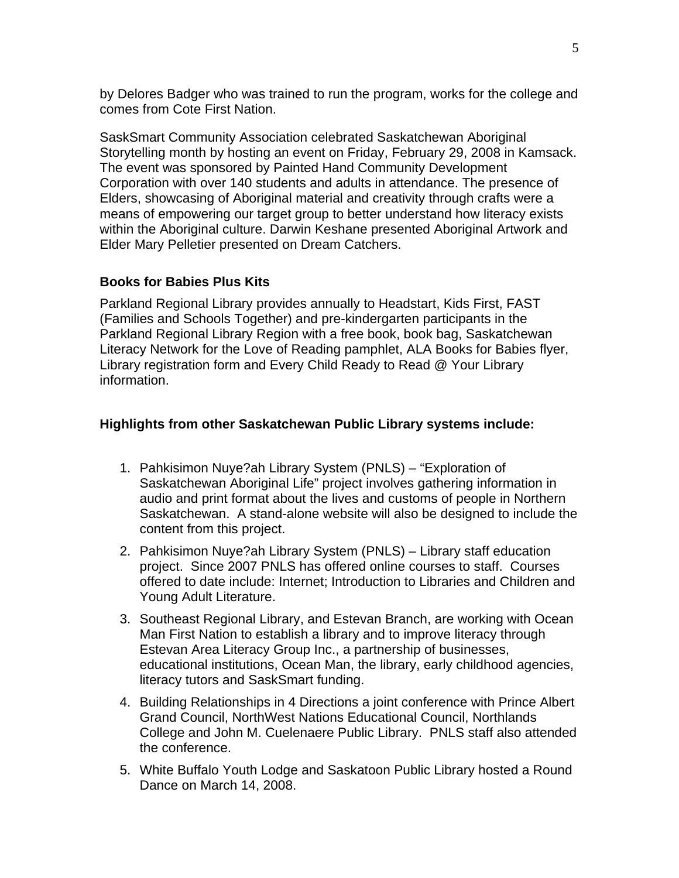by Delores Badger who was trained to run the program, works for the college and comes from Cote First Nation.

SaskSmart Community Association celebrated Saskatchewan Aboriginal Storytelling month by hosting an event on Friday, February 29, 2008 in Kamsack. The event was sponsored by Painted Hand Community Development Corporation with over 140 students and adults in attendance. The presence of Elders, showcasing of Aboriginal material and creativity through crafts were a means of empowering our target group to better understand how literacy exists within the Aboriginal culture. Darwin Keshane presented Aboriginal Artwork and Elder Mary Pelletier presented on Dream Catchers.

# **Books for Babies Plus Kits**

Parkland Regional Library provides annually to Headstart, Kids First, FAST (Families and Schools Together) and pre-kindergarten participants in the Parkland Regional Library Region with a free book, book bag, Saskatchewan Literacy Network for the Love of Reading pamphlet, ALA Books for Babies flyer, Library registration form and Every Child Ready to Read @ Your Library information.

# **Highlights from other Saskatchewan Public Library systems include:**

- 1. Pahkisimon Nuye?ah Library System (PNLS) "Exploration of Saskatchewan Aboriginal Life" project involves gathering information in audio and print format about the lives and customs of people in Northern Saskatchewan. A stand-alone website will also be designed to include the content from this project.
- 2. Pahkisimon Nuye?ah Library System (PNLS) Library staff education project. Since 2007 PNLS has offered online courses to staff. Courses offered to date include: Internet; Introduction to Libraries and Children and Young Adult Literature.
- 3. Southeast Regional Library, and Estevan Branch, are working with Ocean Man First Nation to establish a library and to improve literacy through Estevan Area Literacy Group Inc., a partnership of businesses, educational institutions, Ocean Man, the library, early childhood agencies, literacy tutors and SaskSmart funding.
- 4. Building Relationships in 4 Directions a joint conference with Prince Albert Grand Council, NorthWest Nations Educational Council, Northlands College and John M. Cuelenaere Public Library. PNLS staff also attended the conference.
- 5. White Buffalo Youth Lodge and Saskatoon Public Library hosted a Round Dance on March 14, 2008.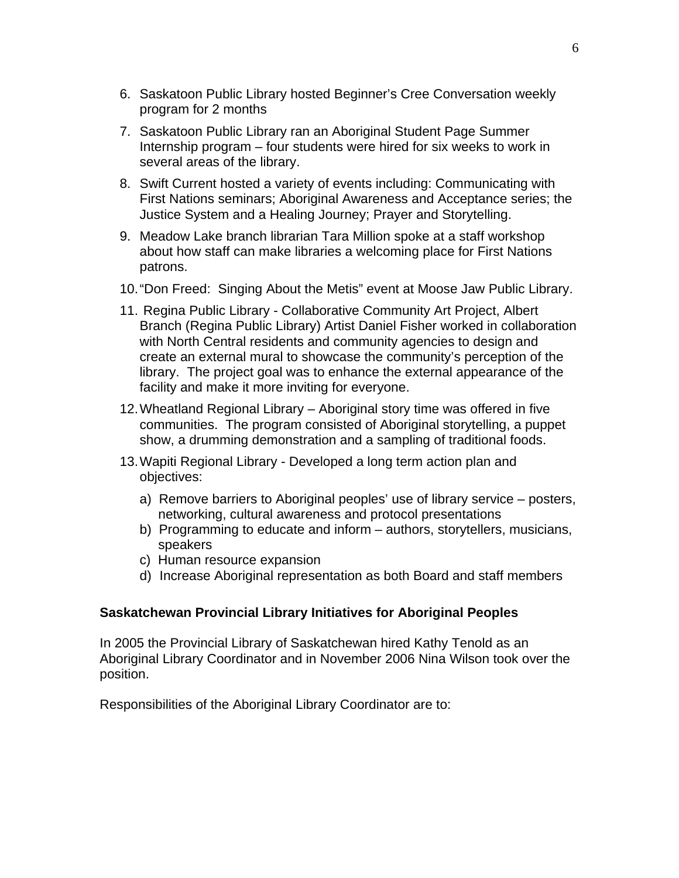- 6. Saskatoon Public Library hosted Beginner's Cree Conversation weekly program for 2 months
- 7. Saskatoon Public Library ran an Aboriginal Student Page Summer Internship program – four students were hired for six weeks to work in several areas of the library.
- 8. Swift Current hosted a variety of events including: Communicating with First Nations seminars; Aboriginal Awareness and Acceptance series; the Justice System and a Healing Journey; Prayer and Storytelling.
- 9. Meadow Lake branch librarian Tara Million spoke at a staff workshop about how staff can make libraries a welcoming place for First Nations patrons.
- 10. "Don Freed: Singing About the Metis" event at Moose Jaw Public Library.
- 11. Regina Public Library Collaborative Community Art Project, Albert Branch (Regina Public Library) Artist Daniel Fisher worked in collaboration with North Central residents and community agencies to design and create an external mural to showcase the community's perception of the library. The project goal was to enhance the external appearance of the facility and make it more inviting for everyone.
- 12. Wheatland Regional Library Aboriginal story time was offered in five communities. The program consisted of Aboriginal storytelling, a puppet show, a drumming demonstration and a sampling of traditional foods.
- 13. Wapiti Regional Library Developed a long term action plan and objectives:
	- a) Remove barriers to Aboriginal peoples' use of library service posters, networking, cultural awareness and protocol presentations
	- b) Programming to educate and inform authors, storytellers, musicians, speakers
	- c) Human resource expansion
	- d) Increase Aboriginal representation as both Board and staff members

# **Saskatchewan Provincial Library Initiatives for Aboriginal Peoples**

In 2005 the Provincial Library of Saskatchewan hired Kathy Tenold as an Aboriginal Library Coordinator and in November 2006 Nina Wilson took over the position.

Responsibilities of the Aboriginal Library Coordinator are to: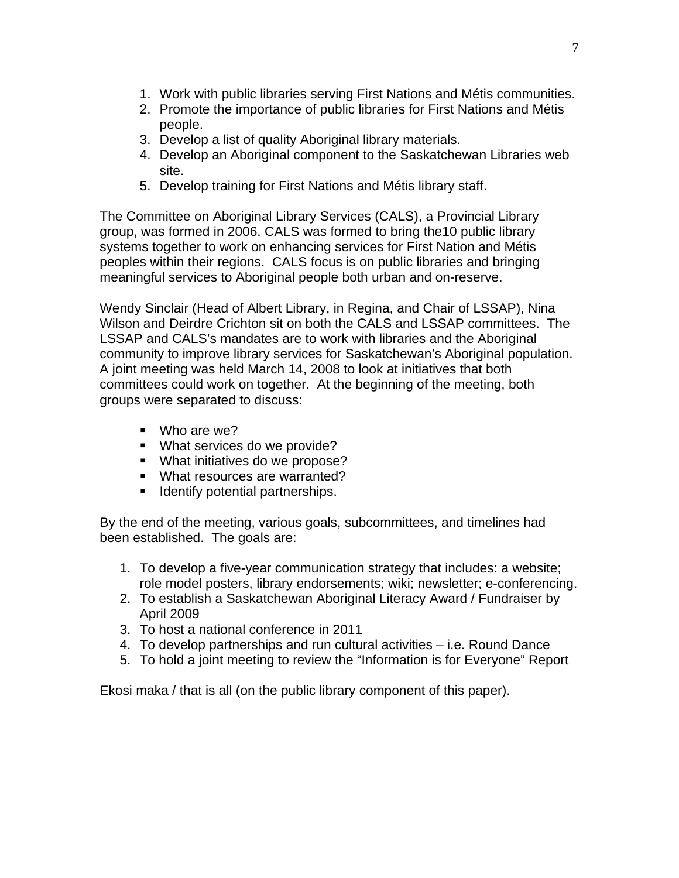- 1. Work with public libraries serving First Nations and Métis communities.
- 2. Promote the importance of public libraries for First Nations and Métis people.
- 3. Develop a list of quality Aboriginal library materials.
- 4. Develop an Aboriginal component to the Saskatchewan Libraries web site.
- 5. Develop training for First Nations and Métis library staff.

The Committee on Aboriginal Library Services (CALS), a Provincial Library group, was formed in 2006. CALS was formed to bring the10 public library systems together to work on enhancing services for First Nation and Métis peoples within their regions. CALS focus is on public libraries and bringing meaningful services to Aboriginal people both urban and on-reserve.

Wendy Sinclair (Head of Albert Library, in Regina, and Chair of LSSAP), Nina Wilson and Deirdre Crichton sit on both the CALS and LSSAP committees. The LSSAP and CALS's mandates are to work with libraries and the Aboriginal community to improve library services for Saskatchewan's Aboriginal population. A joint meeting was held March 14, 2008 to look at initiatives that both committees could work on together. At the beginning of the meeting, both groups were separated to discuss:

- Who are we?
- **What services do we provide?**
- **What initiatives do we propose?**
- **What resources are warranted?**
- **If Identify potential partnerships.**

By the end of the meeting, various goals, subcommittees, and timelines had been established. The goals are:

- 1. To develop a five-year communication strategy that includes: a website; role model posters, library endorsements; wiki; newsletter; e-conferencing.
- 2. To establish a Saskatchewan Aboriginal Literacy Award / Fundraiser by April 2009
- 3. To host a national conference in 2011
- 4. To develop partnerships and run cultural activities i.e. Round Dance
- 5. To hold a joint meeting to review the "Information is for Everyone" Report

Ekosi maka / that is all (on the public library component of this paper).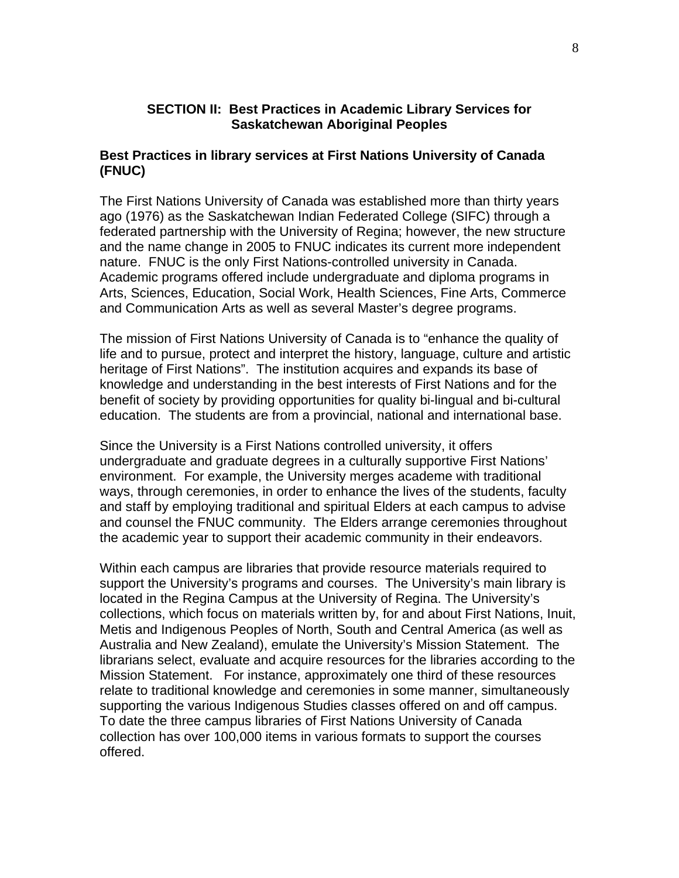# **SECTION II: Best Practices in Academic Library Services for Saskatchewan Aboriginal Peoples**

# **Best Practices in library services at First Nations University of Canada (FNUC)**

The First Nations University of Canada was established more than thirty years ago (1976) as the Saskatchewan Indian Federated College (SIFC) through a federated partnership with the University of Regina; however, the new structure and the name change in 2005 to FNUC indicates its current more independent nature. FNUC is the only First Nations-controlled university in Canada. Academic programs offered include undergraduate and diploma programs in Arts, Sciences, Education, Social Work, Health Sciences, Fine Arts, Commerce and Communication Arts as well as several Master's degree programs.

The mission of First Nations University of Canada is to "enhance the quality of life and to pursue, protect and interpret the history, language, culture and artistic heritage of First Nations". The institution acquires and expands its base of knowledge and understanding in the best interests of First Nations and for the benefit of society by providing opportunities for quality bi-lingual and bi-cultural education. The students are from a provincial, national and international base.

Since the University is a First Nations controlled university, it offers undergraduate and graduate degrees in a culturally supportive First Nations' environment. For example, the University merges academe with traditional ways, through ceremonies, in order to enhance the lives of the students, faculty and staff by employing traditional and spiritual Elders at each campus to advise and counsel the FNUC community. The Elders arrange ceremonies throughout the academic year to support their academic community in their endeavors.

Within each campus are libraries that provide resource materials required to support the University's programs and courses. The University's main library is located in the Regina Campus at the University of Regina. The University's collections, which focus on materials written by, for and about First Nations, Inuit, Metis and Indigenous Peoples of North, South and Central America (as well as Australia and New Zealand), emulate the University's Mission Statement. The librarians select, evaluate and acquire resources for the libraries according to the Mission Statement. For instance, approximately one third of these resources relate to traditional knowledge and ceremonies in some manner, simultaneously supporting the various Indigenous Studies classes offered on and off campus. To date the three campus libraries of First Nations University of Canada collection has over 100,000 items in various formats to support the courses offered.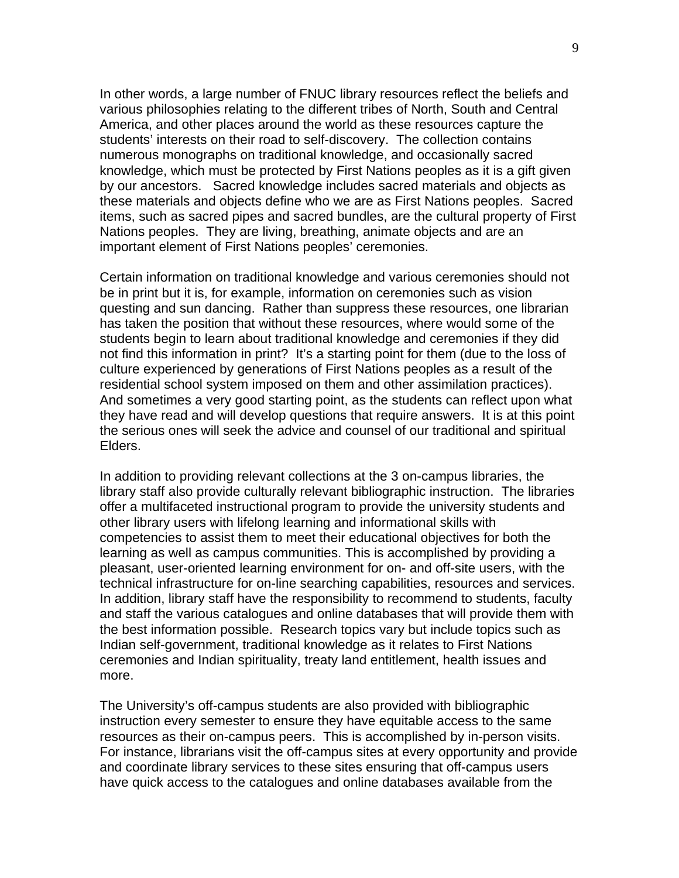In other words, a large number of FNUC library resources reflect the beliefs and various philosophies relating to the different tribes of North, South and Central America, and other places around the world as these resources capture the students' interests on their road to self-discovery. The collection contains numerous monographs on traditional knowledge, and occasionally sacred knowledge, which must be protected by First Nations peoples as it is a gift given by our ancestors. Sacred knowledge includes sacred materials and objects as these materials and objects define who we are as First Nations peoples. Sacred items, such as sacred pipes and sacred bundles, are the cultural property of First Nations peoples. They are living, breathing, animate objects and are an important element of First Nations peoples' ceremonies.

Certain information on traditional knowledge and various ceremonies should not be in print but it is, for example, information on ceremonies such as vision questing and sun dancing. Rather than suppress these resources, one librarian has taken the position that without these resources, where would some of the students begin to learn about traditional knowledge and ceremonies if they did not find this information in print? It's a starting point for them (due to the loss of culture experienced by generations of First Nations peoples as a result of the residential school system imposed on them and other assimilation practices). And sometimes a very good starting point, as the students can reflect upon what they have read and will develop questions that require answers. It is at this point the serious ones will seek the advice and counsel of our traditional and spiritual Elders.

In addition to providing relevant collections at the 3 on-campus libraries, the library staff also provide culturally relevant bibliographic instruction. The libraries offer a multifaceted instructional program to provide the university students and other library users with lifelong learning and informational skills with competencies to assist them to meet their educational objectives for both the learning as well as campus communities. This is accomplished by providing a pleasant, user-oriented learning environment for on- and off-site users, with the technical infrastructure for on-line searching capabilities, resources and services. In addition, library staff have the responsibility to recommend to students, faculty and staff the various catalogues and online databases that will provide them with the best information possible. Research topics vary but include topics such as Indian self-government, traditional knowledge as it relates to First Nations ceremonies and Indian spirituality, treaty land entitlement, health issues and more.

The University's off-campus students are also provided with bibliographic instruction every semester to ensure they have equitable access to the same resources as their on-campus peers. This is accomplished by in-person visits. For instance, librarians visit the off-campus sites at every opportunity and provide and coordinate library services to these sites ensuring that off-campus users have quick access to the catalogues and online databases available from the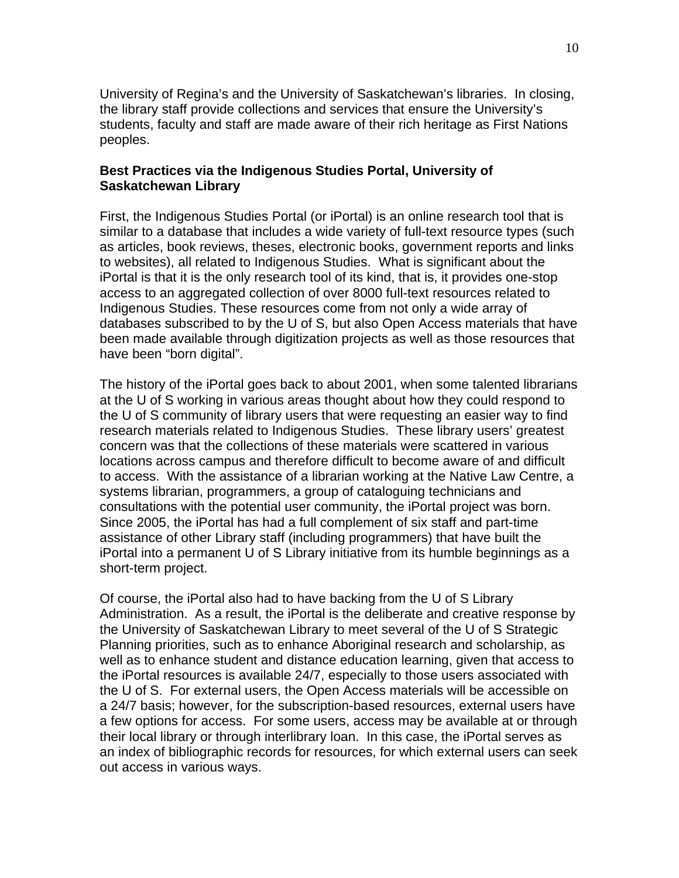University of Regina's and the University of Saskatchewan's libraries. In closing, the library staff provide collections and services that ensure the University's students, faculty and staff are made aware of their rich heritage as First Nations peoples.

### **Best Practices via the Indigenous Studies Portal, University of Saskatchewan Library**

First, the Indigenous Studies Portal (or iPortal) is an online research tool that is similar to a database that includes a wide variety of full-text resource types (such as articles, book reviews, theses, electronic books, government reports and links to websites), all related to Indigenous Studies. What is significant about the iPortal is that it is the only research tool of its kind, that is, it provides one-stop access to an aggregated collection of over 8000 full-text resources related to Indigenous Studies. These resources come from not only a wide array of databases subscribed to by the U of S, but also Open Access materials that have been made available through digitization projects as well as those resources that have been "born digital".

The history of the iPortal goes back to about 2001, when some talented librarians at the U of S working in various areas thought about how they could respond to the U of S community of library users that were requesting an easier way to find research materials related to Indigenous Studies. These library users' greatest concern was that the collections of these materials were scattered in various locations across campus and therefore difficult to become aware of and difficult to access. With the assistance of a librarian working at the Native Law Centre, a systems librarian, programmers, a group of cataloguing technicians and consultations with the potential user community, the iPortal project was born. Since 2005, the iPortal has had a full complement of six staff and part-time assistance of other Library staff (including programmers) that have built the iPortal into a permanent U of S Library initiative from its humble beginnings as a short-term project.

Of course, the iPortal also had to have backing from the U of S Library Administration. As a result, the iPortal is the deliberate and creative response by the University of Saskatchewan Library to meet several of the U of S Strategic Planning priorities, such as to enhance Aboriginal research and scholarship, as well as to enhance student and distance education learning, given that access to the iPortal resources is available 24/7, especially to those users associated with the U of S. For external users, the Open Access materials will be accessible on a 24/7 basis; however, for the subscription-based resources, external users have a few options for access. For some users, access may be available at or through their local library or through interlibrary loan. In this case, the iPortal serves as an index of bibliographic records for resources, for which external users can seek out access in various ways.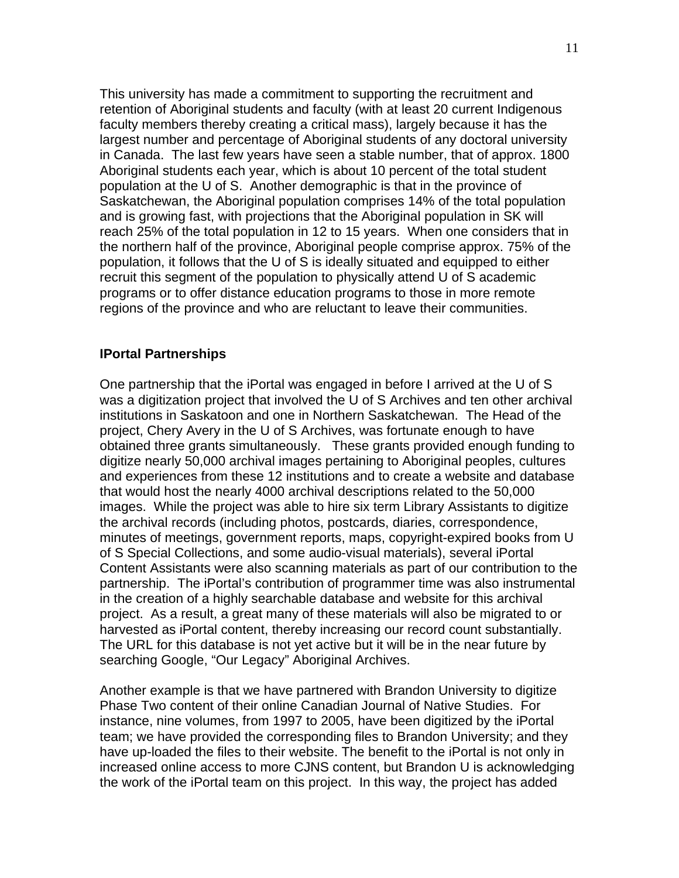This university has made a commitment to supporting the recruitment and retention of Aboriginal students and faculty (with at least 20 current Indigenous faculty members thereby creating a critical mass), largely because it has the largest number and percentage of Aboriginal students of any doctoral university in Canada. The last few years have seen a stable number, that of approx. 1800 Aboriginal students each year, which is about 10 percent of the total student population at the U of S. Another demographic is that in the province of Saskatchewan, the Aboriginal population comprises 14% of the total population and is growing fast, with projections that the Aboriginal population in SK will reach 25% of the total population in 12 to 15 years. When one considers that in the northern half of the province, Aboriginal people comprise approx. 75% of the population, it follows that the U of S is ideally situated and equipped to either recruit this segment of the population to physically attend U of S academic programs or to offer distance education programs to those in more remote regions of the province and who are reluctant to leave their communities.

#### **IPortal Partnerships**

One partnership that the iPortal was engaged in before I arrived at the U of S was a digitization project that involved the U of S Archives and ten other archival institutions in Saskatoon and one in Northern Saskatchewan. The Head of the project, Chery Avery in the U of S Archives, was fortunate enough to have obtained three grants simultaneously. These grants provided enough funding to digitize nearly 50,000 archival images pertaining to Aboriginal peoples, cultures and experiences from these 12 institutions and to create a website and database that would host the nearly 4000 archival descriptions related to the 50,000 images. While the project was able to hire six term Library Assistants to digitize the archival records (including photos, postcards, diaries, correspondence, minutes of meetings, government reports, maps, copyright-expired books from U of S Special Collections, and some audio-visual materials), several iPortal Content Assistants were also scanning materials as part of our contribution to the partnership. The iPortal's contribution of programmer time was also instrumental in the creation of a highly searchable database and website for this archival project. As a result, a great many of these materials will also be migrated to or harvested as iPortal content, thereby increasing our record count substantially. The URL for this database is not yet active but it will be in the near future by searching Google, "Our Legacy" Aboriginal Archives.

Another example is that we have partnered with Brandon University to digitize Phase Two content of their online Canadian Journal of Native Studies. For instance, nine volumes, from 1997 to 2005, have been digitized by the iPortal team; we have provided the corresponding files to Brandon University; and they have up-loaded the files to their website. The benefit to the iPortal is not only in increased online access to more CJNS content, but Brandon U is acknowledging the work of the iPortal team on this project. In this way, the project has added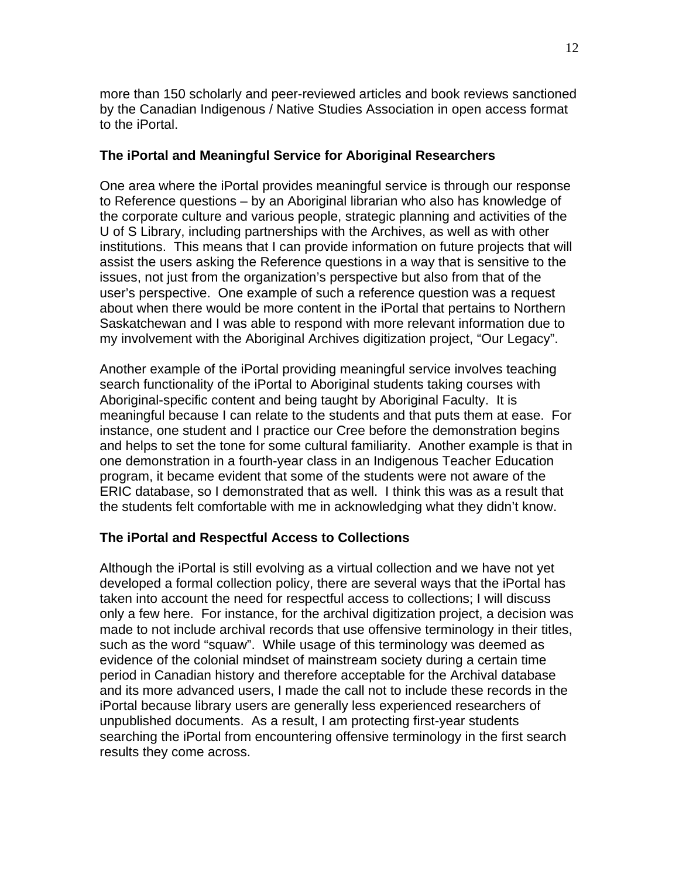more than 150 scholarly and peer-reviewed articles and book reviews sanctioned by the Canadian Indigenous / Native Studies Association in open access format to the iPortal.

## **The iPortal and Meaningful Service for Aboriginal Researchers**

One area where the iPortal provides meaningful service is through our response to Reference questions – by an Aboriginal librarian who also has knowledge of the corporate culture and various people, strategic planning and activities of the U of S Library, including partnerships with the Archives, as well as with other institutions. This means that I can provide information on future projects that will assist the users asking the Reference questions in a way that is sensitive to the issues, not just from the organization's perspective but also from that of the user's perspective. One example of such a reference question was a request about when there would be more content in the iPortal that pertains to Northern Saskatchewan and I was able to respond with more relevant information due to my involvement with the Aboriginal Archives digitization project, "Our Legacy".

Another example of the iPortal providing meaningful service involves teaching search functionality of the iPortal to Aboriginal students taking courses with Aboriginal-specific content and being taught by Aboriginal Faculty. It is meaningful because I can relate to the students and that puts them at ease. For instance, one student and I practice our Cree before the demonstration begins and helps to set the tone for some cultural familiarity. Another example is that in one demonstration in a fourth-year class in an Indigenous Teacher Education program, it became evident that some of the students were not aware of the ERIC database, so I demonstrated that as well. I think this was as a result that the students felt comfortable with me in acknowledging what they didn't know.

# **The iPortal and Respectful Access to Collections**

Although the iPortal is still evolving as a virtual collection and we have not yet developed a formal collection policy, there are several ways that the iPortal has taken into account the need for respectful access to collections; I will discuss only a few here. For instance, for the archival digitization project, a decision was made to not include archival records that use offensive terminology in their titles, such as the word "squaw". While usage of this terminology was deemed as evidence of the colonial mindset of mainstream society during a certain time period in Canadian history and therefore acceptable for the Archival database and its more advanced users, I made the call not to include these records in the iPortal because library users are generally less experienced researchers of unpublished documents. As a result, I am protecting first-year students searching the iPortal from encountering offensive terminology in the first search results they come across.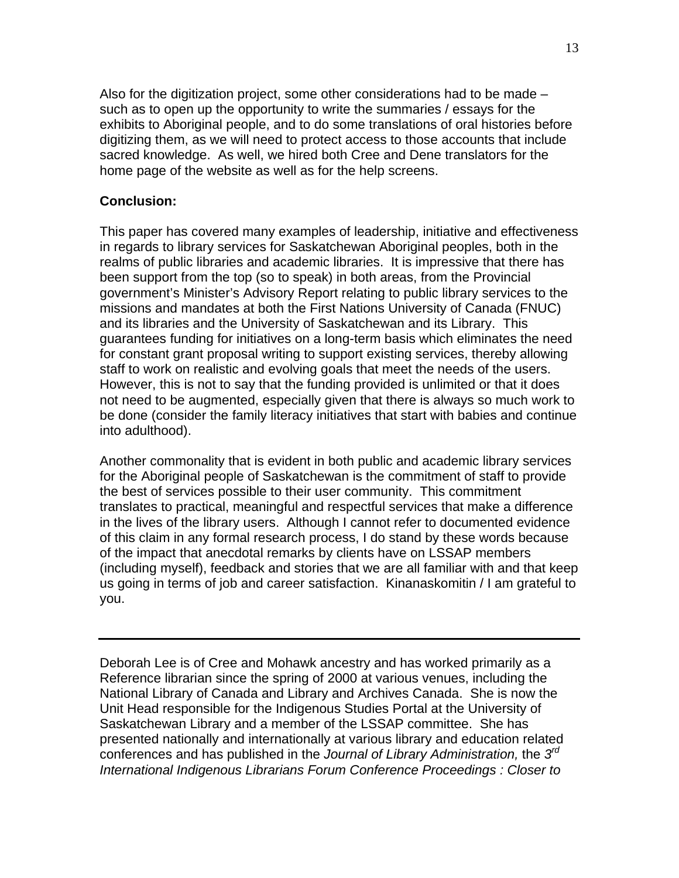Also for the digitization project, some other considerations had to be made – such as to open up the opportunity to write the summaries / essays for the exhibits to Aboriginal people, and to do some translations of oral histories before digitizing them, as we will need to protect access to those accounts that include sacred knowledge. As well, we hired both Cree and Dene translators for the home page of the website as well as for the help screens.

# **Conclusion:**

This paper has covered many examples of leadership, initiative and effectiveness in regards to library services for Saskatchewan Aboriginal peoples, both in the realms of public libraries and academic libraries. It is impressive that there has been support from the top (so to speak) in both areas, from the Provincial government's Minister's Advisory Report relating to public library services to the missions and mandates at both the First Nations University of Canada (FNUC) and its libraries and the University of Saskatchewan and its Library. This guarantees funding for initiatives on a long-term basis which eliminates the need for constant grant proposal writing to support existing services, thereby allowing staff to work on realistic and evolving goals that meet the needs of the users. However, this is not to say that the funding provided is unlimited or that it does not need to be augmented, especially given that there is always so much work to be done (consider the family literacy initiatives that start with babies and continue into adulthood).

Another commonality that is evident in both public and academic library services for the Aboriginal people of Saskatchewan is the commitment of staff to provide the best of services possible to their user community. This commitment translates to practical, meaningful and respectful services that make a difference in the lives of the library users. Although I cannot refer to documented evidence of this claim in any formal research process, I do stand by these words because of the impact that anecdotal remarks by clients have on LSSAP members (including myself), feedback and stories that we are all familiar with and that keep us going in terms of job and career satisfaction. Kinanaskomitin / I am grateful to you.

Deborah Lee is of Cree and Mohawk ancestry and has worked primarily as a Reference librarian since the spring of 2000 at various venues, including the National Library of Canada and Library and Archives Canada. She is now the Unit Head responsible for the Indigenous Studies Portal at the University of Saskatchewan Library and a member of the LSSAP committee. She has presented nationally and internationally at various library and education related conferences and has published in the *Journal of Library Administration,* the *3rd International Indigenous Librarians Forum Conference Proceedings : Closer to*